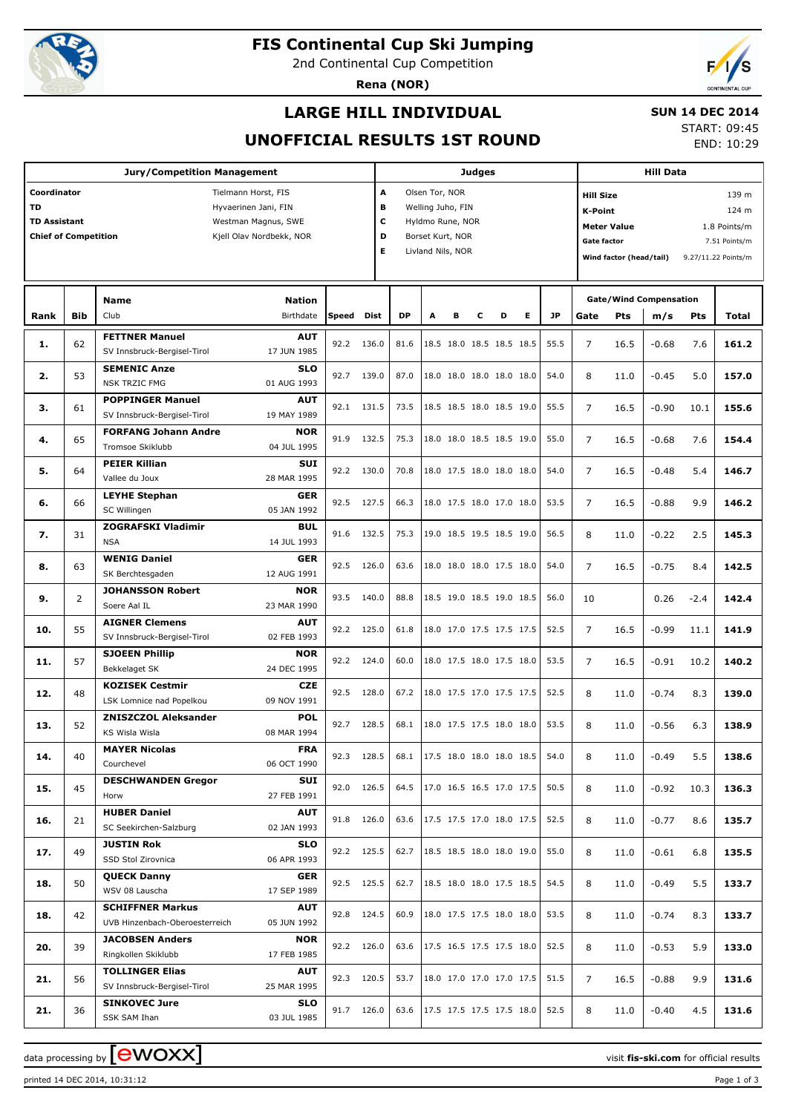

# **FIS Continental Cup Ski Jumping**

2nd Continental Cup Competition

**Rena (NOR)**



## **LARGE HILL INDIVIDUAL**

#### **SUN 14 DEC 2014**

### **UNOFFICIAL RESULTS 1ST ROUND**

START: 09:45 END: 10:29

| A<br>Coordinator<br>Tielmann Horst, FIS<br>Olsen Tor, NOR<br>139 m<br><b>Hill Size</b><br><b>TD</b><br>в<br>Hyvaerinen Jani, FIN<br>Welling Juho, FIN<br><b>K-Point</b><br>124 m<br>c<br><b>TD Assistant</b><br>Westman Magnus, SWE<br>Hyldmo Rune, NOR<br><b>Meter Value</b><br>1.8 Points/m<br>D<br><b>Chief of Competition</b><br>Kjell Olav Nordbekk, NOR<br>Borset Kurt, NOR<br><b>Gate factor</b><br>7.51 Points/m<br>Е<br>Livland Nils, NOR<br>Wind factor (head/tail)<br>9.27/11.22 Points/m<br><b>Gate/Wind Compensation</b><br><b>Name</b><br><b>Nation</b><br><b>DP</b><br><b>JP</b><br>Bib<br>Club<br>Birthdate<br>Speed<br>Dist<br>в<br>с<br>D<br>Е<br>A<br>Gate<br>Pts<br>m/s<br>Pts<br>Rank<br>Total<br><b>FETTNER Manuel</b><br><b>AUT</b><br>92.2<br>55.5<br>62<br>136.0<br>81.6<br>18.5 18.0 18.5 18.5 18.5<br>$\overline{7}$<br>1.<br>16.5<br>$-0.68$<br>7.6<br>SV Innsbruck-Bergisel-Tirol<br>17 JUN 1985<br><b>SEMENIC Anze</b><br>SLO<br>92.7<br>53<br>139.0<br>87.0<br>18.0 18.0 18.0 18.0 18.0<br>54.0<br>5.0<br>2.<br>8<br>11.0<br>$-0.45$<br><b>NSK TRZIC FMG</b><br>01 AUG 1993<br><b>POPPINGER Manuel</b><br><b>AUT</b><br>92.1<br>131.5<br>73.5<br>18.5 18.5 18.0 18.5 19.0<br>55.5<br>$\overline{7}$<br>з.<br>61<br>16.5<br>$-0.90$<br>10.1<br>SV Innsbruck-Bergisel-Tirol<br>19 MAY 1989<br><b>FORFANG Johann Andre</b><br><b>NOR</b><br>91.9<br>65<br>132.5<br>18.0 18.0 18.5 18.5 19.0<br>55.0<br>$\overline{7}$<br>7.6<br>4.<br>75.3<br>16.5<br>$-0.68$<br>Tromsoe Skiklubb<br>04 JUL 1995<br><b>PEIER Killian</b><br>SUI<br>64<br>92.2<br>130.0<br>70.8<br>18.0 17.5 18.0 18.0 18.0<br>54.0<br>$\overline{7}$<br>5.4<br>5.<br>16.5<br>$-0.48$<br>Vallee du Joux<br>28 MAR 1995<br><b>LEYHE Stephan</b><br><b>GER</b><br>92.5<br>127.5<br>18.0 17.5 18.0 17.0 18.0<br>53.5<br>6.<br>66<br>66.3<br>7<br>16.5<br>$-0.88$<br>9.9<br>SC Willingen<br>05 JAN 1992<br><b>ZOGRAFSKI Vladimir</b><br>BUL<br>91.6<br>132.5<br>75.3<br>19.0 18.5 19.5 18.5 19.0<br>56.5<br>7.<br>31<br>8<br>11.0<br>$-0.22$<br>2.5<br>145.3<br><b>NSA</b><br>14 JUL 1993<br><b>WENIG Daniel</b><br><b>GER</b><br>92.5<br>63<br>126.0<br>63.6<br>18.0 18.0 18.0 17.5 18.0<br>54.0<br>$\overline{7}$<br>$-0.75$<br>142.5<br>8.<br>16.5<br>8.4<br>SK Berchtesgaden<br>12 AUG 1991<br><b>JOHANSSON Robert</b><br><b>NOR</b><br>93.5<br>140.0<br>2<br>88.8<br>18.5 19.0 18.5 19.0 18.5<br>142.4<br>9.<br>56.0<br>10<br>0.26<br>$-2.4$<br>Soere Aal IL<br>23 MAR 1990<br><b>AIGNER Clemens</b><br><b>AUT</b><br>125.0<br>55<br>92.2<br>61.8<br>18.0 17.0 17.5 17.5 17.5<br>52.5<br>$\overline{7}$<br>$-0.99$<br>10.<br>16.5<br>11.1<br>SV Innsbruck-Bergisel-Tirol<br>02 FEB 1993<br><b>SJOEEN Phillip</b><br><b>NOR</b><br>92.2<br>57<br>124.0<br>60.0<br>18.0 17.5 18.0 17.5 18.0<br>53.5<br>7<br>11.<br>16.5<br>$-0.91$<br>10.2<br>Bekkelaget SK<br>24 DEC 1995<br><b>KOZISEK Cestmir</b><br><b>CZE</b><br>92.5<br>18.0 17.5 17.0 17.5 17.5<br>48<br>128.0<br>67.2<br>52.5<br>12.<br>8<br>11.0<br>$-0.74$<br>8.3<br>LSK Lomnice nad Popelkou<br>09 NOV 1991<br><b>ZNISZCZOL Aleksander</b><br>POL<br>92.7<br>128.5<br>68.1<br>18.0 17.5 17.5 18.0 18.0<br>53.5<br>8<br>$-0.56$<br>13.<br>52<br>11.0<br>6.3<br>08 MAR 1994<br><b>KS Wisla Wisla</b><br><b>FRA</b><br><b>MAYER Nicolas</b><br>92.3 128.5<br>17.5 18.0 18.0 18.0 18.5<br>14.<br>40<br>68.1<br>54.0<br>8<br>$-0.49$<br>5.5<br>11.0<br>Courchevel<br>06 OCT 1990<br><b>DESCHWANDEN Gregor</b><br>SUI<br>92.0<br>126.5<br>17.0 16.5 16.5 17.0 17.5<br>15.<br>45<br>64.5<br>50.5<br>8<br>$-0.92$<br>10.3<br>11.0<br>27 FEB 1991<br>Horw<br><b>HUBER Daniel</b><br><b>AUT</b><br>91.8 126.0<br>17.5 17.5 17.0 18.0 17.5<br>16.<br>63.6<br>52.5<br>$-0.77$<br>8.6<br>21<br>8<br>11.0<br>SC Seekirchen-Salzburg<br>02 JAN 1993<br><b>JUSTIN Rok</b><br><b>SLO</b><br>92.2 125.5<br>18.5 18.5 18.0 18.0 19.0<br>49<br>62.7<br>55.0<br>17.<br>8<br>$-0.61$<br>6.8<br>11.0<br>SSD Stol Zirovnica<br>06 APR 1993<br><b>QUECK Danny</b><br><b>GER</b><br>92.5 125.5<br>18.5 18.0 18.0 17.5 18.5<br>62.7<br>54.5<br>18.<br>50<br>8<br>$-0.49$<br>5.5<br>11.0<br>WSV 08 Lauscha<br>17 SEP 1989<br><b>SCHIFFNER Markus</b><br><b>AUT</b><br>124.5<br>92.8<br>60.9<br>18.0 17.5 17.5 18.0 18.0<br>53.5<br>18.<br>42<br>8<br>$-0.74$<br>8.3<br>11.0<br>UVB Hinzenbach-Oberoesterreich<br>05 JUN 1992<br><b>JACOBSEN Anders</b><br>NOR<br>92.2 126.0<br>17.5 16.5 17.5 17.5 18.0<br>39<br>63.6<br>52.5<br>20.<br>8<br>$-0.53$<br>5.9<br>133.0<br>11.0<br>Ringkollen Skiklubb<br>17 FEB 1985<br><b>TOLLINGER Elias</b><br><b>AUT</b><br>92.3 120.5<br>18.0 17.0 17.0 17.0 17.5<br>53.7<br>51.5<br>21.<br>56<br>7<br>$-0.88$<br>9.9<br>131.6<br>16.5<br>SV Innsbruck-Bergisel-Tirol<br>25 MAR 1995<br><b>SINKOVEC Jure</b><br><b>SLO</b><br>17.5 17.5 17.5 17.5 18.0<br>91.7 126.0<br>63.6<br>52.5<br>21.<br>36<br>8<br>$-0.40$<br>4.5<br>11.0<br>SSK SAM Ihan<br>03 JUL 1985 | <b>Jury/Competition Management</b> |  |  |  |  |  |  | <b>Judges</b> |  |  |  |  |  |  |  | <b>Hill Data</b> |  |       |  |  |  |
|-----------------------------------------------------------------------------------------------------------------------------------------------------------------------------------------------------------------------------------------------------------------------------------------------------------------------------------------------------------------------------------------------------------------------------------------------------------------------------------------------------------------------------------------------------------------------------------------------------------------------------------------------------------------------------------------------------------------------------------------------------------------------------------------------------------------------------------------------------------------------------------------------------------------------------------------------------------------------------------------------------------------------------------------------------------------------------------------------------------------------------------------------------------------------------------------------------------------------------------------------------------------------------------------------------------------------------------------------------------------------------------------------------------------------------------------------------------------------------------------------------------------------------------------------------------------------------------------------------------------------------------------------------------------------------------------------------------------------------------------------------------------------------------------------------------------------------------------------------------------------------------------------------------------------------------------------------------------------------------------------------------------------------------------------------------------------------------------------------------------------------------------------------------------------------------------------------------------------------------------------------------------------------------------------------------------------------------------------------------------------------------------------------------------------------------------------------------------------------------------------------------------------------------------------------------------------------------------------------------------------------------------------------------------------------------------------------------------------------------------------------------------------------------------------------------------------------------------------------------------------------------------------------------------------------------------------------------------------------------------------------------------------------------------------------------------------------------------------------------------------------------------------------------------------------------------------------------------------------------------------------------------------------------------------------------------------------------------------------------------------------------------------------------------------------------------------------------------------------------------------------------------------------------------------------------------------------------------------------------------------------------------------------------------------------------------------------------------------------------------------------------------------------------------------------------------------------------------------------------------------------------------------------------------------------------------------------------------------------------------------------------------------------------------------------------------------------------------------------------------------------------------------------------------------------------------------------------------------------------------------------------------------------------------------------------------------------------------------------------------------------------------------------------------------------------------------------------------------------------------------------------------------------------------------------------------------------------------------------------------------------------------------------------------------------------------------------------------------------------------------------------------------------------------------------------------------------------------------------------------------------------------------------------------------------|------------------------------------|--|--|--|--|--|--|---------------|--|--|--|--|--|--|--|------------------|--|-------|--|--|--|
|                                                                                                                                                                                                                                                                                                                                                                                                                                                                                                                                                                                                                                                                                                                                                                                                                                                                                                                                                                                                                                                                                                                                                                                                                                                                                                                                                                                                                                                                                                                                                                                                                                                                                                                                                                                                                                                                                                                                                                                                                                                                                                                                                                                                                                                                                                                                                                                                                                                                                                                                                                                                                                                                                                                                                                                                                                                                                                                                                                                                                                                                                                                                                                                                                                                                                                                                                                                                                                                                                                                                                                                                                                                                                                                                                                                                                                                                                                                                                                                                                                                                                                                                                                                                                                                                                                                                                                                                                                                                                                                                                                                                                                                                                                                                                                                                                                                                                                                             |                                    |  |  |  |  |  |  |               |  |  |  |  |  |  |  |                  |  |       |  |  |  |
|                                                                                                                                                                                                                                                                                                                                                                                                                                                                                                                                                                                                                                                                                                                                                                                                                                                                                                                                                                                                                                                                                                                                                                                                                                                                                                                                                                                                                                                                                                                                                                                                                                                                                                                                                                                                                                                                                                                                                                                                                                                                                                                                                                                                                                                                                                                                                                                                                                                                                                                                                                                                                                                                                                                                                                                                                                                                                                                                                                                                                                                                                                                                                                                                                                                                                                                                                                                                                                                                                                                                                                                                                                                                                                                                                                                                                                                                                                                                                                                                                                                                                                                                                                                                                                                                                                                                                                                                                                                                                                                                                                                                                                                                                                                                                                                                                                                                                                                             |                                    |  |  |  |  |  |  |               |  |  |  |  |  |  |  |                  |  |       |  |  |  |
|                                                                                                                                                                                                                                                                                                                                                                                                                                                                                                                                                                                                                                                                                                                                                                                                                                                                                                                                                                                                                                                                                                                                                                                                                                                                                                                                                                                                                                                                                                                                                                                                                                                                                                                                                                                                                                                                                                                                                                                                                                                                                                                                                                                                                                                                                                                                                                                                                                                                                                                                                                                                                                                                                                                                                                                                                                                                                                                                                                                                                                                                                                                                                                                                                                                                                                                                                                                                                                                                                                                                                                                                                                                                                                                                                                                                                                                                                                                                                                                                                                                                                                                                                                                                                                                                                                                                                                                                                                                                                                                                                                                                                                                                                                                                                                                                                                                                                                                             |                                    |  |  |  |  |  |  |               |  |  |  |  |  |  |  |                  |  | 161.2 |  |  |  |
|                                                                                                                                                                                                                                                                                                                                                                                                                                                                                                                                                                                                                                                                                                                                                                                                                                                                                                                                                                                                                                                                                                                                                                                                                                                                                                                                                                                                                                                                                                                                                                                                                                                                                                                                                                                                                                                                                                                                                                                                                                                                                                                                                                                                                                                                                                                                                                                                                                                                                                                                                                                                                                                                                                                                                                                                                                                                                                                                                                                                                                                                                                                                                                                                                                                                                                                                                                                                                                                                                                                                                                                                                                                                                                                                                                                                                                                                                                                                                                                                                                                                                                                                                                                                                                                                                                                                                                                                                                                                                                                                                                                                                                                                                                                                                                                                                                                                                                                             |                                    |  |  |  |  |  |  |               |  |  |  |  |  |  |  |                  |  | 157.0 |  |  |  |
|                                                                                                                                                                                                                                                                                                                                                                                                                                                                                                                                                                                                                                                                                                                                                                                                                                                                                                                                                                                                                                                                                                                                                                                                                                                                                                                                                                                                                                                                                                                                                                                                                                                                                                                                                                                                                                                                                                                                                                                                                                                                                                                                                                                                                                                                                                                                                                                                                                                                                                                                                                                                                                                                                                                                                                                                                                                                                                                                                                                                                                                                                                                                                                                                                                                                                                                                                                                                                                                                                                                                                                                                                                                                                                                                                                                                                                                                                                                                                                                                                                                                                                                                                                                                                                                                                                                                                                                                                                                                                                                                                                                                                                                                                                                                                                                                                                                                                                                             |                                    |  |  |  |  |  |  |               |  |  |  |  |  |  |  |                  |  | 155.6 |  |  |  |
|                                                                                                                                                                                                                                                                                                                                                                                                                                                                                                                                                                                                                                                                                                                                                                                                                                                                                                                                                                                                                                                                                                                                                                                                                                                                                                                                                                                                                                                                                                                                                                                                                                                                                                                                                                                                                                                                                                                                                                                                                                                                                                                                                                                                                                                                                                                                                                                                                                                                                                                                                                                                                                                                                                                                                                                                                                                                                                                                                                                                                                                                                                                                                                                                                                                                                                                                                                                                                                                                                                                                                                                                                                                                                                                                                                                                                                                                                                                                                                                                                                                                                                                                                                                                                                                                                                                                                                                                                                                                                                                                                                                                                                                                                                                                                                                                                                                                                                                             |                                    |  |  |  |  |  |  |               |  |  |  |  |  |  |  |                  |  | 154.4 |  |  |  |
|                                                                                                                                                                                                                                                                                                                                                                                                                                                                                                                                                                                                                                                                                                                                                                                                                                                                                                                                                                                                                                                                                                                                                                                                                                                                                                                                                                                                                                                                                                                                                                                                                                                                                                                                                                                                                                                                                                                                                                                                                                                                                                                                                                                                                                                                                                                                                                                                                                                                                                                                                                                                                                                                                                                                                                                                                                                                                                                                                                                                                                                                                                                                                                                                                                                                                                                                                                                                                                                                                                                                                                                                                                                                                                                                                                                                                                                                                                                                                                                                                                                                                                                                                                                                                                                                                                                                                                                                                                                                                                                                                                                                                                                                                                                                                                                                                                                                                                                             |                                    |  |  |  |  |  |  |               |  |  |  |  |  |  |  |                  |  | 146.7 |  |  |  |
|                                                                                                                                                                                                                                                                                                                                                                                                                                                                                                                                                                                                                                                                                                                                                                                                                                                                                                                                                                                                                                                                                                                                                                                                                                                                                                                                                                                                                                                                                                                                                                                                                                                                                                                                                                                                                                                                                                                                                                                                                                                                                                                                                                                                                                                                                                                                                                                                                                                                                                                                                                                                                                                                                                                                                                                                                                                                                                                                                                                                                                                                                                                                                                                                                                                                                                                                                                                                                                                                                                                                                                                                                                                                                                                                                                                                                                                                                                                                                                                                                                                                                                                                                                                                                                                                                                                                                                                                                                                                                                                                                                                                                                                                                                                                                                                                                                                                                                                             |                                    |  |  |  |  |  |  |               |  |  |  |  |  |  |  |                  |  | 146.2 |  |  |  |
|                                                                                                                                                                                                                                                                                                                                                                                                                                                                                                                                                                                                                                                                                                                                                                                                                                                                                                                                                                                                                                                                                                                                                                                                                                                                                                                                                                                                                                                                                                                                                                                                                                                                                                                                                                                                                                                                                                                                                                                                                                                                                                                                                                                                                                                                                                                                                                                                                                                                                                                                                                                                                                                                                                                                                                                                                                                                                                                                                                                                                                                                                                                                                                                                                                                                                                                                                                                                                                                                                                                                                                                                                                                                                                                                                                                                                                                                                                                                                                                                                                                                                                                                                                                                                                                                                                                                                                                                                                                                                                                                                                                                                                                                                                                                                                                                                                                                                                                             |                                    |  |  |  |  |  |  |               |  |  |  |  |  |  |  |                  |  |       |  |  |  |
|                                                                                                                                                                                                                                                                                                                                                                                                                                                                                                                                                                                                                                                                                                                                                                                                                                                                                                                                                                                                                                                                                                                                                                                                                                                                                                                                                                                                                                                                                                                                                                                                                                                                                                                                                                                                                                                                                                                                                                                                                                                                                                                                                                                                                                                                                                                                                                                                                                                                                                                                                                                                                                                                                                                                                                                                                                                                                                                                                                                                                                                                                                                                                                                                                                                                                                                                                                                                                                                                                                                                                                                                                                                                                                                                                                                                                                                                                                                                                                                                                                                                                                                                                                                                                                                                                                                                                                                                                                                                                                                                                                                                                                                                                                                                                                                                                                                                                                                             |                                    |  |  |  |  |  |  |               |  |  |  |  |  |  |  |                  |  |       |  |  |  |
|                                                                                                                                                                                                                                                                                                                                                                                                                                                                                                                                                                                                                                                                                                                                                                                                                                                                                                                                                                                                                                                                                                                                                                                                                                                                                                                                                                                                                                                                                                                                                                                                                                                                                                                                                                                                                                                                                                                                                                                                                                                                                                                                                                                                                                                                                                                                                                                                                                                                                                                                                                                                                                                                                                                                                                                                                                                                                                                                                                                                                                                                                                                                                                                                                                                                                                                                                                                                                                                                                                                                                                                                                                                                                                                                                                                                                                                                                                                                                                                                                                                                                                                                                                                                                                                                                                                                                                                                                                                                                                                                                                                                                                                                                                                                                                                                                                                                                                                             |                                    |  |  |  |  |  |  |               |  |  |  |  |  |  |  |                  |  | 141.9 |  |  |  |
|                                                                                                                                                                                                                                                                                                                                                                                                                                                                                                                                                                                                                                                                                                                                                                                                                                                                                                                                                                                                                                                                                                                                                                                                                                                                                                                                                                                                                                                                                                                                                                                                                                                                                                                                                                                                                                                                                                                                                                                                                                                                                                                                                                                                                                                                                                                                                                                                                                                                                                                                                                                                                                                                                                                                                                                                                                                                                                                                                                                                                                                                                                                                                                                                                                                                                                                                                                                                                                                                                                                                                                                                                                                                                                                                                                                                                                                                                                                                                                                                                                                                                                                                                                                                                                                                                                                                                                                                                                                                                                                                                                                                                                                                                                                                                                                                                                                                                                                             |                                    |  |  |  |  |  |  |               |  |  |  |  |  |  |  |                  |  | 140.2 |  |  |  |
|                                                                                                                                                                                                                                                                                                                                                                                                                                                                                                                                                                                                                                                                                                                                                                                                                                                                                                                                                                                                                                                                                                                                                                                                                                                                                                                                                                                                                                                                                                                                                                                                                                                                                                                                                                                                                                                                                                                                                                                                                                                                                                                                                                                                                                                                                                                                                                                                                                                                                                                                                                                                                                                                                                                                                                                                                                                                                                                                                                                                                                                                                                                                                                                                                                                                                                                                                                                                                                                                                                                                                                                                                                                                                                                                                                                                                                                                                                                                                                                                                                                                                                                                                                                                                                                                                                                                                                                                                                                                                                                                                                                                                                                                                                                                                                                                                                                                                                                             |                                    |  |  |  |  |  |  |               |  |  |  |  |  |  |  |                  |  | 139.0 |  |  |  |
|                                                                                                                                                                                                                                                                                                                                                                                                                                                                                                                                                                                                                                                                                                                                                                                                                                                                                                                                                                                                                                                                                                                                                                                                                                                                                                                                                                                                                                                                                                                                                                                                                                                                                                                                                                                                                                                                                                                                                                                                                                                                                                                                                                                                                                                                                                                                                                                                                                                                                                                                                                                                                                                                                                                                                                                                                                                                                                                                                                                                                                                                                                                                                                                                                                                                                                                                                                                                                                                                                                                                                                                                                                                                                                                                                                                                                                                                                                                                                                                                                                                                                                                                                                                                                                                                                                                                                                                                                                                                                                                                                                                                                                                                                                                                                                                                                                                                                                                             |                                    |  |  |  |  |  |  |               |  |  |  |  |  |  |  |                  |  | 138.9 |  |  |  |
|                                                                                                                                                                                                                                                                                                                                                                                                                                                                                                                                                                                                                                                                                                                                                                                                                                                                                                                                                                                                                                                                                                                                                                                                                                                                                                                                                                                                                                                                                                                                                                                                                                                                                                                                                                                                                                                                                                                                                                                                                                                                                                                                                                                                                                                                                                                                                                                                                                                                                                                                                                                                                                                                                                                                                                                                                                                                                                                                                                                                                                                                                                                                                                                                                                                                                                                                                                                                                                                                                                                                                                                                                                                                                                                                                                                                                                                                                                                                                                                                                                                                                                                                                                                                                                                                                                                                                                                                                                                                                                                                                                                                                                                                                                                                                                                                                                                                                                                             |                                    |  |  |  |  |  |  |               |  |  |  |  |  |  |  |                  |  | 138.6 |  |  |  |
|                                                                                                                                                                                                                                                                                                                                                                                                                                                                                                                                                                                                                                                                                                                                                                                                                                                                                                                                                                                                                                                                                                                                                                                                                                                                                                                                                                                                                                                                                                                                                                                                                                                                                                                                                                                                                                                                                                                                                                                                                                                                                                                                                                                                                                                                                                                                                                                                                                                                                                                                                                                                                                                                                                                                                                                                                                                                                                                                                                                                                                                                                                                                                                                                                                                                                                                                                                                                                                                                                                                                                                                                                                                                                                                                                                                                                                                                                                                                                                                                                                                                                                                                                                                                                                                                                                                                                                                                                                                                                                                                                                                                                                                                                                                                                                                                                                                                                                                             |                                    |  |  |  |  |  |  |               |  |  |  |  |  |  |  |                  |  | 136.3 |  |  |  |
|                                                                                                                                                                                                                                                                                                                                                                                                                                                                                                                                                                                                                                                                                                                                                                                                                                                                                                                                                                                                                                                                                                                                                                                                                                                                                                                                                                                                                                                                                                                                                                                                                                                                                                                                                                                                                                                                                                                                                                                                                                                                                                                                                                                                                                                                                                                                                                                                                                                                                                                                                                                                                                                                                                                                                                                                                                                                                                                                                                                                                                                                                                                                                                                                                                                                                                                                                                                                                                                                                                                                                                                                                                                                                                                                                                                                                                                                                                                                                                                                                                                                                                                                                                                                                                                                                                                                                                                                                                                                                                                                                                                                                                                                                                                                                                                                                                                                                                                             |                                    |  |  |  |  |  |  |               |  |  |  |  |  |  |  |                  |  | 135.7 |  |  |  |
|                                                                                                                                                                                                                                                                                                                                                                                                                                                                                                                                                                                                                                                                                                                                                                                                                                                                                                                                                                                                                                                                                                                                                                                                                                                                                                                                                                                                                                                                                                                                                                                                                                                                                                                                                                                                                                                                                                                                                                                                                                                                                                                                                                                                                                                                                                                                                                                                                                                                                                                                                                                                                                                                                                                                                                                                                                                                                                                                                                                                                                                                                                                                                                                                                                                                                                                                                                                                                                                                                                                                                                                                                                                                                                                                                                                                                                                                                                                                                                                                                                                                                                                                                                                                                                                                                                                                                                                                                                                                                                                                                                                                                                                                                                                                                                                                                                                                                                                             |                                    |  |  |  |  |  |  |               |  |  |  |  |  |  |  |                  |  | 135.5 |  |  |  |
|                                                                                                                                                                                                                                                                                                                                                                                                                                                                                                                                                                                                                                                                                                                                                                                                                                                                                                                                                                                                                                                                                                                                                                                                                                                                                                                                                                                                                                                                                                                                                                                                                                                                                                                                                                                                                                                                                                                                                                                                                                                                                                                                                                                                                                                                                                                                                                                                                                                                                                                                                                                                                                                                                                                                                                                                                                                                                                                                                                                                                                                                                                                                                                                                                                                                                                                                                                                                                                                                                                                                                                                                                                                                                                                                                                                                                                                                                                                                                                                                                                                                                                                                                                                                                                                                                                                                                                                                                                                                                                                                                                                                                                                                                                                                                                                                                                                                                                                             |                                    |  |  |  |  |  |  |               |  |  |  |  |  |  |  |                  |  | 133.7 |  |  |  |
|                                                                                                                                                                                                                                                                                                                                                                                                                                                                                                                                                                                                                                                                                                                                                                                                                                                                                                                                                                                                                                                                                                                                                                                                                                                                                                                                                                                                                                                                                                                                                                                                                                                                                                                                                                                                                                                                                                                                                                                                                                                                                                                                                                                                                                                                                                                                                                                                                                                                                                                                                                                                                                                                                                                                                                                                                                                                                                                                                                                                                                                                                                                                                                                                                                                                                                                                                                                                                                                                                                                                                                                                                                                                                                                                                                                                                                                                                                                                                                                                                                                                                                                                                                                                                                                                                                                                                                                                                                                                                                                                                                                                                                                                                                                                                                                                                                                                                                                             |                                    |  |  |  |  |  |  |               |  |  |  |  |  |  |  |                  |  | 133.7 |  |  |  |
|                                                                                                                                                                                                                                                                                                                                                                                                                                                                                                                                                                                                                                                                                                                                                                                                                                                                                                                                                                                                                                                                                                                                                                                                                                                                                                                                                                                                                                                                                                                                                                                                                                                                                                                                                                                                                                                                                                                                                                                                                                                                                                                                                                                                                                                                                                                                                                                                                                                                                                                                                                                                                                                                                                                                                                                                                                                                                                                                                                                                                                                                                                                                                                                                                                                                                                                                                                                                                                                                                                                                                                                                                                                                                                                                                                                                                                                                                                                                                                                                                                                                                                                                                                                                                                                                                                                                                                                                                                                                                                                                                                                                                                                                                                                                                                                                                                                                                                                             |                                    |  |  |  |  |  |  |               |  |  |  |  |  |  |  |                  |  |       |  |  |  |
|                                                                                                                                                                                                                                                                                                                                                                                                                                                                                                                                                                                                                                                                                                                                                                                                                                                                                                                                                                                                                                                                                                                                                                                                                                                                                                                                                                                                                                                                                                                                                                                                                                                                                                                                                                                                                                                                                                                                                                                                                                                                                                                                                                                                                                                                                                                                                                                                                                                                                                                                                                                                                                                                                                                                                                                                                                                                                                                                                                                                                                                                                                                                                                                                                                                                                                                                                                                                                                                                                                                                                                                                                                                                                                                                                                                                                                                                                                                                                                                                                                                                                                                                                                                                                                                                                                                                                                                                                                                                                                                                                                                                                                                                                                                                                                                                                                                                                                                             |                                    |  |  |  |  |  |  |               |  |  |  |  |  |  |  |                  |  | 131.6 |  |  |  |

printed 14 DEC 2014, 10:31:12 Page 1 of 3

data processing by **CWOXX** and  $\overline{C}$  and  $\overline{C}$  and  $\overline{C}$  and  $\overline{C}$  and  $\overline{C}$  and  $\overline{C}$  and  $\overline{C}$  and  $\overline{C}$  and  $\overline{C}$  and  $\overline{C}$  and  $\overline{C}$  and  $\overline{C}$  and  $\overline{C}$  and  $\overline{C}$  and  $\overline{C}$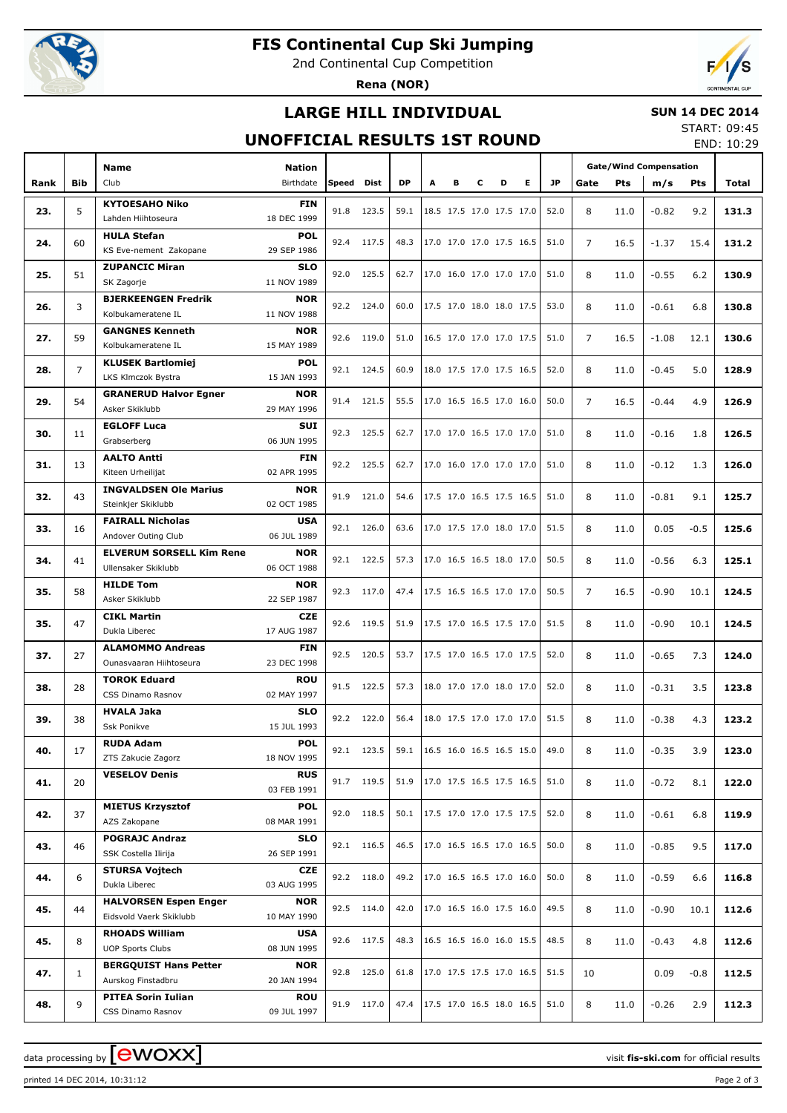

# **FIS Continental Cup Ski Jumping**

2nd Continental Cup Competition

**Rena (NOR)**



## **LARGE HILL INDIVIDUAL**

#### **SUN 14 DEC 2014**

### **UNOFFICIAL RESULTS 1ST ROUND**

START: 09:45 END: 10:29

|      |                | <b>Name</b>                                            |                            |            |            |           |   |   |                          |                          |      | <b>Gate/Wind Compensation</b> |                |         |         |            |       |
|------|----------------|--------------------------------------------------------|----------------------------|------------|------------|-----------|---|---|--------------------------|--------------------------|------|-------------------------------|----------------|---------|---------|------------|-------|
| Rank | <b>Bib</b>     | Club                                                   | <b>Nation</b><br>Birthdate | Speed Dist |            | <b>DP</b> | A | в | c                        | D                        | Е    | JP.                           | Gate           | Pts     | m/s     | <b>Pts</b> | Total |
|      |                | <b>KYTOESAHO Niko</b>                                  | <b>FIN</b>                 |            |            |           |   |   |                          |                          |      |                               |                |         |         |            |       |
| 23.  | 5              | Lahden Hiihtoseura                                     | 18 DEC 1999                |            | 91.8 123.5 | 59.1      |   |   |                          | 18.5 17.5 17.0 17.5 17.0 |      | 52.0                          | 8              | 11.0    | $-0.82$ | 9.2        | 131.3 |
|      |                | <b>HULA Stefan</b>                                     | <b>POL</b>                 |            |            |           |   |   |                          |                          |      |                               |                |         |         |            |       |
| 24.  | 60             | KS Eve-nement Zakopane                                 | 29 SEP 1986                | 92.4 117.5 |            | 48.3      |   |   |                          | 17.0 17.0 17.0 17.5 16.5 |      | 51.0                          | $\overline{7}$ | 16.5    | $-1.37$ | 15.4       | 131.2 |
| 25.  | 51             | <b>ZUPANCIC Miran</b>                                  | <b>SLO</b>                 |            | 92.0 125.5 | 62.7      |   |   |                          | 17.0 16.0 17.0 17.0 17.0 |      | 51.0                          | 8              | 11.0    | $-0.55$ | 6.2        | 130.9 |
|      |                | SK Zagorje                                             | 11 NOV 1989                |            |            |           |   |   |                          |                          |      |                               |                |         |         |            |       |
| 26.  | 3              | <b>BJERKEENGEN Fredrik</b>                             | <b>NOR</b>                 |            | 92.2 124.0 | 60.0      |   |   |                          | 17.5 17.0 18.0 18.0 17.5 |      | 53.0                          | 8              | 11.0    | $-0.61$ | 6.8        | 130.8 |
|      |                | Kolbukameratene IL                                     | 11 NOV 1988                |            |            |           |   |   |                          |                          |      |                               |                |         |         |            |       |
| 27.  | 59             | <b>GANGNES Kenneth</b><br>Kolbukameratene IL           | <b>NOR</b><br>15 MAY 1989  | 92.6 119.0 |            | 51.0      |   |   |                          | 16.5 17.0 17.0 17.0 17.5 |      | 51.0                          | $\overline{7}$ | 16.5    | $-1.08$ | 12.1       | 130.6 |
|      |                | <b>KLUSEK Bartlomiej</b>                               | <b>POL</b>                 |            |            |           |   |   |                          |                          |      |                               |                |         |         |            |       |
| 28.  | $\overline{7}$ | LKS Klmczok Bystra                                     | 15 JAN 1993                |            | 92.1 124.5 | 60.9      |   |   |                          | 18.0 17.5 17.0 17.5 16.5 |      | 52.0                          | 8              | 11.0    | $-0.45$ | 5.0        | 128.9 |
|      |                | <b>GRANERUD Halvor Egner</b>                           | <b>NOR</b>                 |            |            |           |   |   |                          |                          |      |                               |                |         |         |            |       |
| 29.  | 54             | Asker Skiklubb                                         | 29 MAY 1996                |            | 91.4 121.5 | 55.5      |   |   |                          | 17.0 16.5 16.5 17.0 16.0 |      | 50.0                          | $\overline{7}$ | 16.5    | $-0.44$ | 4.9        | 126.9 |
|      |                | <b>EGLOFF Luca</b>                                     | SUI                        |            |            |           |   |   |                          |                          |      |                               |                |         |         |            |       |
| 30.  | 11             | Grabserberg                                            |                            | 92.3 125.5 | 62.7       |           |   |   | 17.0 17.0 16.5 17.0 17.0 |                          | 51.0 | 8                             | 11.0           | $-0.16$ | 1.8     | 126.5      |       |
| 31.  | 13             | <b>AALTO Antti</b>                                     | <b>FIN</b>                 |            | 92.2 125.5 | 62.7      |   |   |                          | 17.0 16.0 17.0 17.0 17.0 |      | 51.0                          | 8              | 11.0    | $-0.12$ | 1.3        | 126.0 |
|      |                | Kiteen Urheilijat                                      | 02 APR 1995                |            |            |           |   |   |                          |                          |      |                               |                |         |         |            |       |
| 32.  | 43             | <b>INGVALDSEN Ole Marius</b>                           | <b>NOR</b>                 |            | 91.9 121.0 | 54.6      |   |   |                          | 17.5 17.0 16.5 17.5 16.5 |      | 51.0                          | 8              | 11.0    | $-0.81$ | 9.1        | 125.7 |
|      |                | Steinkjer Skiklubb                                     | 02 OCT 1985                |            |            |           |   |   |                          |                          |      |                               |                |         |         |            |       |
| 33.  | 16             | <b>FAIRALL Nicholas</b>                                | <b>USA</b>                 |            | 92.1 126.0 | 63.6      |   |   |                          | 17.0 17.5 17.0 18.0 17.0 |      | 51.5                          | 8              | 11.0    | 0.05    | $-0.5$     | 125.6 |
|      |                | Andover Outing Club                                    | 06 JUL 1989                |            |            |           |   |   |                          |                          |      |                               |                |         |         |            |       |
| 34.  | 41             | <b>ELVERUM SORSELL Kim Rene</b><br>Ullensaker Skiklubb | <b>NOR</b><br>06 OCT 1988  |            | 92.1 122.5 | 57.3      |   |   |                          | 17.0 16.5 16.5 18.0 17.0 |      | 50.5                          | 8              | 11.0    | $-0.56$ | 6.3        | 125.1 |
|      |                | <b>HILDE Tom</b>                                       | <b>NOR</b>                 |            |            |           |   |   |                          |                          |      |                               |                |         |         |            |       |
| 35.  | 58             | Asker Skiklubb                                         | 22 SEP 1987                |            | 92.3 117.0 | 47.4      |   |   |                          | 17.5 16.5 16.5 17.0 17.0 |      | 50.5                          | $\overline{7}$ | 16.5    | $-0.90$ | 10.1       | 124.5 |
|      |                | <b>CIKL Martin</b>                                     | CZE.                       |            |            |           |   |   |                          |                          |      |                               |                |         |         |            |       |
| 35.  | 47             | Dukla Liberec                                          | 17 AUG 1987                |            | 92.6 119.5 | 51.9      |   |   |                          | 17.5 17.0 16.5 17.5 17.0 |      | 51.5                          | 8              | 11.0    | $-0.90$ | 10.1       | 124.5 |
|      |                | <b>ALAMOMMO Andreas</b>                                | <b>FIN</b>                 |            | 92.5 120.5 | 53.7      |   |   |                          | 17.5 17.0 16.5 17.0 17.5 |      | 52.0                          |                |         |         |            |       |
| 37.  | 27             | Ounasvaaran Hiihtoseura                                | 23 DEC 1998                |            |            |           |   |   |                          |                          |      |                               | 8              | 11.0    | $-0.65$ | 7.3        | 124.0 |
| 38.  | 28             | <b>TOROK Eduard</b>                                    | <b>ROU</b>                 |            | 91.5 122.5 | 57.3      |   |   |                          | 18.0 17.0 17.0 18.0 17.0 |      | 52.0                          | 8              | 11.0    | $-0.31$ | 3.5        | 123.8 |
|      |                | CSS Dinamo Rasnov                                      | 02 MAY 1997                |            |            |           |   |   |                          |                          |      |                               |                |         |         |            |       |
| 39.  | 38             | <b>HVALA Jaka</b>                                      | <b>SLO</b>                 |            | 92.2 122.0 | 56.4      |   |   |                          | 18.0 17.5 17.0 17.0 17.0 |      | 51.5                          | 8              | 11.0    | $-0.38$ | 4.3        | 123.2 |
|      |                | Ssk Ponikve                                            | 15 JUL 1993                |            |            |           |   |   |                          |                          |      |                               |                |         |         |            |       |
| 40.  | 17             | <b>RUDA Adam</b><br>ZTS Zakucie Zagorz                 | POL<br>18 NOV 1995         |            | 92.1 123.5 | 59.1      |   |   |                          | 16.5 16.0 16.5 16.5 15.0 |      | 49.0                          | 8              | 11.0    | $-0.35$ | 3.9        | 123.0 |
|      |                | <b>VESELOV Denis</b>                                   | <b>RUS</b>                 |            |            |           |   |   |                          |                          |      |                               |                |         |         |            |       |
| 41.  | 20             |                                                        | 03 FEB 1991                |            | 91.7 119.5 | 51.9      |   |   |                          | 17.0 17.5 16.5 17.5 16.5 |      | 51.0                          | 8              | 11.0    | $-0.72$ | 8.1        | 122.0 |
|      |                | <b>MIETUS Krzysztof</b>                                | <b>POL</b>                 |            |            |           |   |   |                          |                          |      |                               |                |         |         |            |       |
| 42.  | 37             | AZS Zakopane                                           | 08 MAR 1991                |            | 92.0 118.5 | 50.1      |   |   |                          | 17.5 17.0 17.0 17.5 17.5 |      | 52.0                          | 8              | 11.0    | $-0.61$ | 6.8        | 119.9 |
|      |                | <b>POGRAJC Andraz</b>                                  | <b>SLO</b>                 |            | 92.1 116.5 | 46.5      |   |   |                          | 17.0 16.5 16.5 17.0 16.5 |      | 50.0                          |                |         |         |            |       |
| 43.  | 46             | SSK Costella Ilirija                                   | 26 SEP 1991                |            |            |           |   |   |                          |                          |      |                               | 8              | 11.0    | $-0.85$ | 9.5        | 117.0 |
| 44.  | 6              | <b>STURSA Vojtech</b>                                  | <b>CZE</b>                 |            | 92.2 118.0 | 49.2      |   |   |                          | 17.0 16.5 16.5 17.0 16.0 |      | 50.0                          | 8              | 11.0    | $-0.59$ | 6.6        | 116.8 |
|      |                | Dukla Liberec                                          | 03 AUG 1995                |            |            |           |   |   |                          |                          |      |                               |                |         |         |            |       |
| 45.  | 44             | <b>HALVORSEN Espen Enger</b>                           | <b>NOR</b>                 |            | 92.5 114.0 | 42.0      |   |   |                          | 17.0 16.5 16.0 17.5 16.0 |      | 49.5                          | 8              | 11.0    | $-0.90$ | 10.1       | 112.6 |
|      |                | Eidsvold Vaerk Skiklubb                                | 10 MAY 1990                |            |            |           |   |   |                          |                          |      |                               |                |         |         |            |       |
| 45.  | 8              | <b>RHOADS William</b><br><b>UOP Sports Clubs</b>       | <b>USA</b><br>08 JUN 1995  |            | 92.6 117.5 | 48.3      |   |   |                          | 16.5 16.5 16.0 16.0 15.5 |      | 48.5                          | 8              | 11.0    | $-0.43$ | 4.8        | 112.6 |
|      |                | <b>BERGQUIST Hans Petter</b>                           | <b>NOR</b>                 |            |            |           |   |   |                          |                          |      |                               |                |         |         |            |       |
| 47.  | $\mathbf{1}$   | Aurskog Finstadbru                                     | 20 JAN 1994                |            | 92.8 125.0 | 61.8      |   |   |                          | 17.0 17.5 17.5 17.0 16.5 |      | 51.5                          | 10             |         | 0.09    | $-0.8$     | 112.5 |
|      |                | <b>PITEA Sorin Iulian</b>                              | <b>ROU</b>                 |            |            |           |   |   |                          |                          |      |                               |                |         |         |            |       |
| 48.  | 9              | CSS Dinamo Rasnov                                      | 09 JUL 1997                |            | 91.9 117.0 | 47.4      |   |   |                          | 17.5 17.0 16.5 18.0 16.5 |      | 51.0                          | 8              | 11.0    | $-0.26$ | 2.9        | 112.3 |

printed 14 DEC 2014, 10:31:12 Page 2 of 3

data processing by **CWOXX**  $\blacksquare$